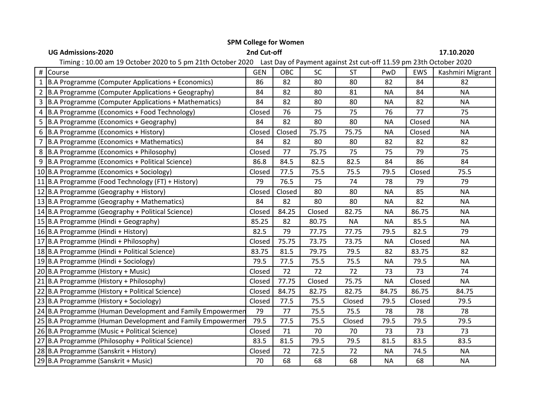| <b>UG Admissions-2020</b>                                                                                                     | 2nd Cut-off |        |        |           |           |        | 17.10.2020       |  |  |
|-------------------------------------------------------------------------------------------------------------------------------|-------------|--------|--------|-----------|-----------|--------|------------------|--|--|
| Timing: 10.00 am 19 October 2020 to 5 pm 21th October 2020 Last Day of Payment against 2st cut-off 11.59 pm 23th October 2020 |             |        |        |           |           |        |                  |  |  |
| Course                                                                                                                        | <b>GEN</b>  | OBC    | SC     | <b>ST</b> | PwD       | EWS    | Kashmiri Migrant |  |  |
| 1 B.A Programme (Computer Applications + Economics)                                                                           | 86          | 82     | 80     | 80        | 82        | 84     | 82               |  |  |
| 2 B.A Programme (Computer Applications + Geography)                                                                           | 84          | 82     | 80     | 81        | <b>NA</b> | 84     | <b>NA</b>        |  |  |
| 3 B.A Programme (Computer Applications + Mathematics)                                                                         | 84          | 82     | 80     | 80        | <b>NA</b> | 82     | <b>NA</b>        |  |  |
| 4 B.A Programme (Economics + Food Technology)                                                                                 | Closed      | 76     | 75     | 75        | 76        | 77     | 75               |  |  |
| 5 B.A Programme (Economics + Geography)                                                                                       | 84          | 82     | 80     | 80        | <b>NA</b> | Closed | <b>NA</b>        |  |  |
| 6 B.A Programme (Economics + History)                                                                                         | Closed      | Closed | 75.75  | 75.75     | <b>NA</b> | Closed | <b>NA</b>        |  |  |
| 7 B.A Programme (Economics + Mathematics)                                                                                     | 84          | 82     | 80     | 80        | 82        | 82     | 82               |  |  |
| 8 B.A Programme (Economics + Philosophy)                                                                                      | Closed      | 77     | 75.75  | 75        | 75        | 79     | 75               |  |  |
| 9 B.A Programme (Economics + Political Science)                                                                               | 86.8        | 84.5   | 82.5   | 82.5      | 84        | 86     | 84               |  |  |
| 10 B.A Programme (Economics + Sociology)                                                                                      | Closed      | 77.5   | 75.5   | 75.5      | 79.5      | Closed | 75.5             |  |  |
| 11 B.A Programme (Food Technology (FT) + History)                                                                             | 79          | 76.5   | 75     | 74        | 78        | 79     | 79               |  |  |
| 12 B.A Programme (Geography + History)                                                                                        | Closed      | Closed | 80     | 80        | <b>NA</b> | 85     | <b>NA</b>        |  |  |
| 13 B.A Programme (Geography + Mathematics)                                                                                    | 84          | 82     | 80     | 80        | <b>NA</b> | 82     | <b>NA</b>        |  |  |
| 14 B.A Programme (Geography + Political Science)                                                                              | Closed      | 84.25  | Closed | 82.75     | <b>NA</b> | 86.75  | <b>NA</b>        |  |  |
| 15 B.A Programme (Hindi + Geography)                                                                                          | 85.25       | 82     | 80.75  | <b>NA</b> | <b>NA</b> | 85.5   | <b>NA</b>        |  |  |
| 16 B.A Programme (Hindi + History)                                                                                            | 82.5        | 79     | 77.75  | 77.75     | 79.5      | 82.5   | 79               |  |  |
| 17 B.A Programme (Hindi + Philosophy)                                                                                         | Closed      | 75.75  | 73.75  | 73.75     | <b>NA</b> | Closed | <b>NA</b>        |  |  |
| 18 B.A Programme (Hindi + Political Science)                                                                                  | 83.75       | 81.5   | 79.75  | 79.5      | 82        | 83.75  | 82               |  |  |
| 19 B.A Programme (Hindi + Sociology)                                                                                          | 79.5        | 77.5   | 75.5   | 75.5      | <b>NA</b> | 79.5   | <b>NA</b>        |  |  |
| 20 B.A Programme (History + Music)                                                                                            | Closed      | 72     | 72     | 72        | 73        | 73     | 74               |  |  |
| 21 B.A Programme (History + Philosophy)                                                                                       | Closed      | 77.75  | Closed | 75.75     | <b>NA</b> | Closed | <b>NA</b>        |  |  |
| 22 B.A Programme (History + Political Science)                                                                                | Closed      | 84.75  | 82.75  | 82.75     | 84.75     | 86.75  | 84.75            |  |  |
| 23 B.A Programme (History + Sociology)                                                                                        | Closed      | 77.5   | 75.5   | Closed    | 79.5      | Closed | 79.5             |  |  |
| 24 B.A Programme (Human Development and Family Empowermen                                                                     | 79          | 77     | 75.5   | 75.5      | 78        | 78     | 78               |  |  |
| 25 B.A Programme (Human Development and Family Empowermer                                                                     | 79.5        | 77.5   | 75.5   | Closed    | 79.5      | 79.5   | 79.5             |  |  |
| 26 B.A Programme (Music + Political Science)                                                                                  | Closed      | 71     | 70     | 70        | 73        | 73     | 73               |  |  |
| 27 B.A Programme (Philosophy + Political Science)                                                                             | 83.5        | 81.5   | 79.5   | 79.5      | 81.5      | 83.5   | 83.5             |  |  |
| 28 B.A Programme (Sanskrit + History)                                                                                         | Closed      | 72     | 72.5   | 72        | <b>NA</b> | 74.5   | <b>NA</b>        |  |  |
| 29 B.A Programme (Sanskrit + Music)                                                                                           | 70          | 68     | 68     | 68        | <b>NA</b> | 68     | <b>NA</b>        |  |  |

## **SPM College for Women**